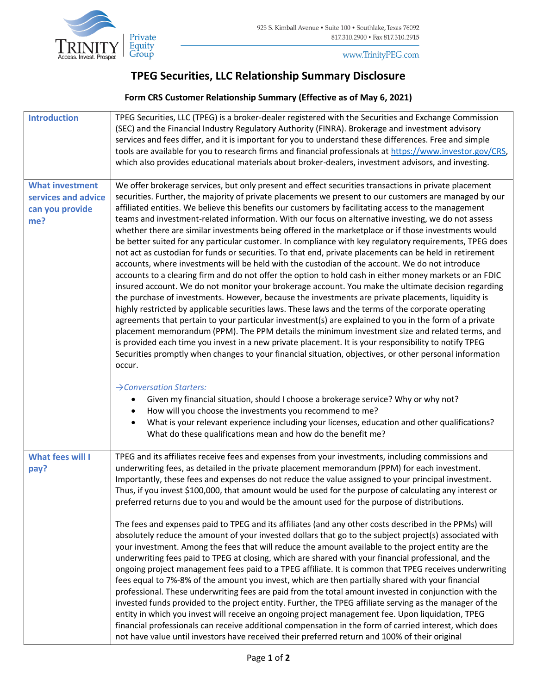

www.TrinityPEG.com

## **TPEG Securities, LLC Relationship Summary Disclosure**

## **Form CRS Customer Relationship Summary (Effective as of May 6, 2021)**

| <b>Introduction</b>                                                     | TPEG Securities, LLC (TPEG) is a broker-dealer registered with the Securities and Exchange Commission<br>(SEC) and the Financial Industry Regulatory Authority (FINRA). Brokerage and investment advisory<br>services and fees differ, and it is important for you to understand these differences. Free and simple<br>tools are available for you to research firms and financial professionals at https://www.investor.gov/CRS,<br>which also provides educational materials about broker-dealers, investment advisors, and investing.                                                                                                                                                                                                                                                                                                                                                                                                                                                                                                                                                                                                                                                                                                                                                                                                                                                                                                                                                                                                                                                                                                                                                                                                                                          |
|-------------------------------------------------------------------------|-----------------------------------------------------------------------------------------------------------------------------------------------------------------------------------------------------------------------------------------------------------------------------------------------------------------------------------------------------------------------------------------------------------------------------------------------------------------------------------------------------------------------------------------------------------------------------------------------------------------------------------------------------------------------------------------------------------------------------------------------------------------------------------------------------------------------------------------------------------------------------------------------------------------------------------------------------------------------------------------------------------------------------------------------------------------------------------------------------------------------------------------------------------------------------------------------------------------------------------------------------------------------------------------------------------------------------------------------------------------------------------------------------------------------------------------------------------------------------------------------------------------------------------------------------------------------------------------------------------------------------------------------------------------------------------------------------------------------------------------------------------------------------------|
| <b>What investment</b><br>services and advice<br>can you provide<br>me? | We offer brokerage services, but only present and effect securities transactions in private placement<br>securities. Further, the majority of private placements we present to our customers are managed by our<br>affiliated entities. We believe this benefits our customers by facilitating access to the management<br>teams and investment-related information. With our focus on alternative investing, we do not assess<br>whether there are similar investments being offered in the marketplace or if those investments would<br>be better suited for any particular customer. In compliance with key regulatory requirements, TPEG does<br>not act as custodian for funds or securities. To that end, private placements can be held in retirement<br>accounts, where investments will be held with the custodian of the account. We do not introduce<br>accounts to a clearing firm and do not offer the option to hold cash in either money markets or an FDIC<br>insured account. We do not monitor your brokerage account. You make the ultimate decision regarding<br>the purchase of investments. However, because the investments are private placements, liquidity is<br>highly restricted by applicable securities laws. These laws and the terms of the corporate operating<br>agreements that pertain to your particular investment(s) are explained to you in the form of a private<br>placement memorandum (PPM). The PPM details the minimum investment size and related terms, and<br>is provided each time you invest in a new private placement. It is your responsibility to notify TPEG<br>Securities promptly when changes to your financial situation, objectives, or other personal information<br>occur.<br>$\rightarrow$ Conversation Starters: |
|                                                                         | Given my financial situation, should I choose a brokerage service? Why or why not?<br>How will you choose the investments you recommend to me?<br>What is your relevant experience including your licenses, education and other qualifications?<br>What do these qualifications mean and how do the benefit me?                                                                                                                                                                                                                                                                                                                                                                                                                                                                                                                                                                                                                                                                                                                                                                                                                                                                                                                                                                                                                                                                                                                                                                                                                                                                                                                                                                                                                                                                   |
| What fees will I<br>pay?                                                | TPEG and its affiliates receive fees and expenses from your investments, including commissions and<br>underwriting fees, as detailed in the private placement memorandum (PPM) for each investment.<br>Importantly, these fees and expenses do not reduce the value assigned to your principal investment.<br>Thus, if you invest \$100,000, that amount would be used for the purpose of calculating any interest or<br>preferred returns due to you and would be the amount used for the purpose of distributions.                                                                                                                                                                                                                                                                                                                                                                                                                                                                                                                                                                                                                                                                                                                                                                                                                                                                                                                                                                                                                                                                                                                                                                                                                                                              |
|                                                                         | The fees and expenses paid to TPEG and its affiliates (and any other costs described in the PPMs) will<br>absolutely reduce the amount of your invested dollars that go to the subject project(s) associated with<br>your investment. Among the fees that will reduce the amount available to the project entity are the<br>underwriting fees paid to TPEG at closing, which are shared with your financial professional, and the<br>ongoing project management fees paid to a TPEG affiliate. It is common that TPEG receives underwriting<br>fees equal to 7%-8% of the amount you invest, which are then partially shared with your financial<br>professional. These underwriting fees are paid from the total amount invested in conjunction with the<br>invested funds provided to the project entity. Further, the TPEG affiliate serving as the manager of the<br>entity in which you invest will receive an ongoing project management fee. Upon liquidation, TPEG<br>financial professionals can receive additional compensation in the form of carried interest, which does<br>not have value until investors have received their preferred return and 100% of their original                                                                                                                                                                                                                                                                                                                                                                                                                                                                                                                                                                                           |